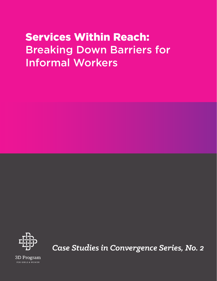# Services Within Reach: Breaking Down Barriers for Informal Workers



*Case Studies in Convergence Series, No. 2*

3D Program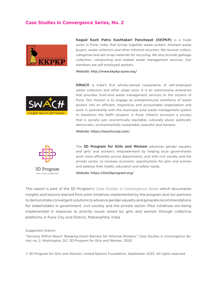# **Case Studies in Convergence Series, No. 2**



**Kagad Kach Patra Kashtakari Panchayat (KKPKP)** is a trade union in Pune, India, that brings together waste pickers, itinerant waste buyers, waste collectors and other informal recyclers. We recover, collect, categorise and sell scrap materials for recycling. We also provide garbage collection, composting and related waste management services. Our members are self employed workers.

Website: http://www.kkpkp-pune.org/



**SWaCH** is India's first wholly-owned cooperative of self-employed waste collectors and other urban poor. It is an autonomous enterprise that provides front-end waste management services to the citizens of Pune. Our mission is to engage an entrepreneurial workforce of waste pickers into an efficient, responsive and accountable oragnisation and work in partnership with the municipal solid waste management system to transform the SWM situation in Pune. SWaCH envisions a society that is socially just, economically equitable, culturally plural, politically democratic, environmentally sustainable, peaceful and humane.

Website: https://swachcoop.com/



The **3D Program for Girls and Women** advances gender equality and girls' and women's empowerment by helping local governments work more efficiently across departments, and with civil society and the private sector, to increase economic opportunities for girls and women and address their health, education and safety needs.

FOR GIRLS & WOMEN

Website: https://the3dprogram.org/

This report is part of the 3D Program's *Case Studies in Convergence Series* which documents insights and lessons learned from pilot initiatives implemented by the program and our partners to demonstrate convergent solutions to advance gender equality and generate recommendations for stakeholders in government, civil society and the private sector. Pilot initiatives are being implemented in response to priority issues raised by girls and women through collective platforms in Pune City and District, Maharashtra, India.

Suggested citation:

"Services Within Reach: Breaking Down Barriers for Informal Workers." *Case Studies in Convergence Series*, no. 2, Washington, DC: 3D Program for Girls and Women, 2020.

© 3D Program for Girls and Women, United Nations Foundation, September 2020. All rights reserved.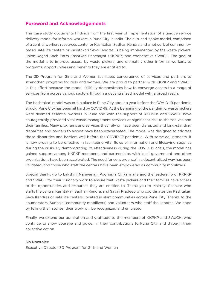# **Foreword and Acknowledgements**

This case study documents findings from the first year of implementation of a unique service delivery model for informal workers in Pune City in India. The hub-and-spoke model, comprised of a central workers resources center or Kashtakari Sadhan Kendra and a network of communitybased satellite centers or Kashtakari Seva Kendras, is being implemented by the waste pickers' union Kagad Kach Patra Kashtkari Panchayat (KKPKP) and cooperative SWaCH. The goal of the model is to improve access by waste pickers, and ultimately other informal workers, to programs, opportunities and benefits they are entitled to.

The 3D Program for Girls and Women facilitates convergence of services and partners to strengthen programs for girls and women. We are proud to partner with KKPKP and SWaCH in this effort because the model skillfully demonstrates how to converge access to a range of services from across various sectors through a decentralized model with a broad reach.

The Kashtakari model was put in place in Pune City about a year before the COVID-19 pandemic struck. Pune City has been hit hard by COVID-19. At the beginning of the pandemic, waste pickers were deemed essential workers in Pune and with the support of KKPKPK and SWaCH have courageously provided vital waste management services at significant risk to themselves and their families. Many programs and services they rely on have been disrupted and long-standing disparities and barriers to access have been exacerbated. The model was designed to address those disparities and barriers well before the COVID-19 pandemic. With some adjustments, it is now proving to be effective in facilitating vital flows of information and lifesaving supplies during the crisis. By demonstrating its effectiveness during the COVID-19 crisis, the model has gained support among KKPKP members, and partnerships with local government and other organizations have been accelerated. The need for convergence in a decentralized way has been validated, and those who staff the centers have been empowered as community mobilizers.

Special thanks go to Lakshmi Narayanan, Poornima Chikarmane and the leadership of KKPKP and SWaCH for their visionary work to ensure that waste pickers and their families have access to the opportunities and resources they are entitled to. Thank you to Maitreyi Shankar who staffs the central Kashtakari Sadhan Kendra, and Sayali Pradeep who coordinates the Kashtakari Seva Kendras or satellite centers, located in slum communities across Pune City. Thanks to the enumerators, Sunbais (community mobilizers) and volunteers who staff the kendras. We hope by telling their stories, their work will be recognized and emulated.

Finally, we extend our admiration and gratitude to the members of KKPKP and SWaCH, who continue to show courage and power in their contributions to Pune City and through their collective action.

#### Sia Nowrojee

Executive Director, 3D Program for Girls and Women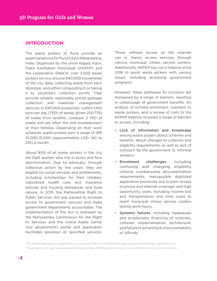# **INTRODUCTION**

The waste pickers of Pune provide an essential service for Pune City in Maharashtra, India. Organized by the union Kagad, Kach, Patra Kashtakari Panchayat (KKPKP) and the cooperative SWaCH, over 3,500 waste pickers service around 840,000 households of the city daily, collecting waste from each doorstep, and either composting it or taking it to secondary collection points. They provide reliable, reasonably priced garbage collection and materials management services to 840,000 properties, collect 1,100 tons per day (TPD) of waste, divert 200 TPD of waste from landfills, compost 3 TPD of waste and are often the sole breadwinners of their families. Depending on their work schedule, waste pickers earn a range of INR 10,000-15,000 (approximately USD 140 to 210) a month.

About 80% of all waste pickers in the city are Dalit women who live in slums and face discrimination. Due to advocacy through collective action by the union, they are eligible for social services and entitlements, including scholarships for their children, subsidized health care and insurance policies and housing allowances and food rations. In 2015, the Maharashtra Right to Public Services Act was passed to increase access to government services and make government departments accountable. The implementation of the Act is overseen by the Maharashtra Commission for the Right to Services and the online Aaple Sarkar (our government) portal and application facilitates provision of specified services.

Those without access to the internet can in theory access services through various municipal citizen service centers. Additionally, KKPKP has run a helpline since 2018 to assist waste pickers with various issues, including accessing government programs.

However, these pathways to inclusion are hampered by a range of barriers, resulting in underusage of government benefits. An analysis of scheme enrolment, outreach to waste pickers, and a review of calls to the KKPKP helpline revealed a range of barriers to access, including:

- Lack of information and knowledge among waste pickers about schemes and benefits, about changes to schemes and eligibility requirements, as well as lack of outreach by the government to informal workers.
- Enrolment challenges, including confusing and changing eligibility criteria, cumbersome documentation requirements, inaccessible digitized application processes due to poor access to phone and internet coverage, and high opportunity costs, including income lost and transportation and time costs to reach municipal citizen service centers during work hours.
- Systemic failures, including inadequate and problematic financing of schemes, complex implementation architecture, and failure to act and lack of accountability of officials.<sup>1</sup>

1 For more information on barriers to access and the actions KKPKP is taking to overcome them, see Poornima Chikarmane, with Sia Nowrojee and Kalkidan Shebi, *Pathways to Inclusion: Social Protection and Public Services*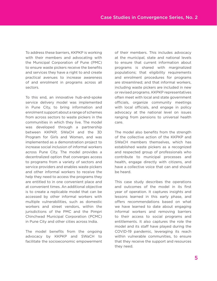To address these barriers, KKPKP is working with their members and advocating with the Municipal Corporation of Pune (PMC) to ensure waste pickers receive the benefits and services they have a right to and create practical avenues to increase awareness of and enrolment in programs across all sectors.

To this end, an innovative hub-and-spoke service delivery model was implemented in Pune City, to bring information and enrolment support about a range of schemes from across sectors to waste pickers in the communities in which they live. The model was developed through a partnership between KKPKP, SWaCH and the 3D Program for Girls and Women, and was implemented as a demonstration project to increase social inclusion of informal workers across Pune City. The model provides a decentralized option that converges access to programs from a variety of sectors and service providers and enables waste pickers and other informal workers to receive the help they need to access the programs they are entitled to in one convenient place and at convenient times. An additional objective is to create a replicable model that can be accessed by other informal workers with multiple vulnerabilities, such as domestic workers and street vendors, within the jurisdictions of the PMC and the Pimpri Chinchwad Municipal Corporation (PCMC) in Pune City and other cities across India.

The model benefits from the ongoing advocacy by KKPKP and SWaCH to facilitate the socioeconomic empowerment

of their members. This includes advocacy at the municipal, state and national levels to ensure that current information about programs is shared with marginalized populations; that eligibility requirements and enrolment procedures for programs are streamlined; and that informal workers, including waste pickers are included in new or revised programs. KKPKP representatives often meet with local and state government officials, organize community meetings with local officials, and engage in policy advocacy at the national level on issues ranging from pensions to universal health care.

The model also benefits from the strength of the collective action of the KKPKP and SWaCH members themselves, which has established waste pickers as a recognized and respected group of professionals who contribute to municipal processes and health, engage directly with citizens, and have a collective voice that can and should be heard.

This case study describes the operations and outcomes of the model in its first year of operation. It captures insights and lessons learned in this early phase, and offers recommendations based on what we have learned to date about engaging informal workers and removing barriers to their access to social programs and entitlements. It also captures the role the model and its staff have played during the COVID-19 pandemic, leveraging its reach within vulnerable communities, to ensure that they receive the support and resources they need.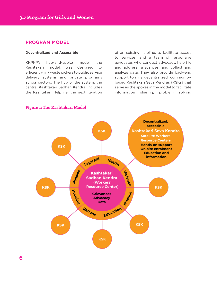### **PROGRAM MODEL**

#### **Decentralized and Accessible**

KKPKP's hub-and-spoke model, the Kashtakari model, was designed to efficiently link waste pickers to public service delivery systems and private programs across sectors. The hub of the system, the central Kashtakari Sadhan Kendra, includes the Kashtakari Helpline, the next iteration of an existing helpline, to facilitate access to services, and a team of responsive advocates who conduct advocacy, help file and address grievances, and collect and analyze data. They also provide back-end support to nine decentralized, communitybased Kashtakari Seva Kendras (KSKs) that serve as the spokes in the model to facilitate information sharing, problem solving



### **Figure 1: The Kashtakari Model**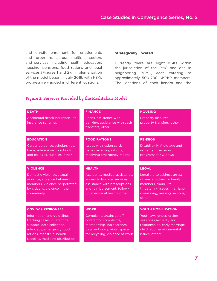and on-site enrolment for entitlements and programs across multiple sectors and services, including health, education, housing, pensions, food rations and legal services (Figures 1 and 2). Implementation of the model began in July 2019, with KSKs progressively added in different locations.

#### **Strategically Located**

Currently there are eight KSKs within the jurisdiction of the PMC and one in neighboring PCMC, each catering to approximately 500-700 KKPKP members. The locations of each kendra and the

### **Figure 2: Services Provided by the Kashtakari Model**

| <b>DEATH</b>                                                                                                                                                                       | <b>FINANCE</b>                                                                                                                                               | <b>HOUSING</b>                                                                                                                                              |
|------------------------------------------------------------------------------------------------------------------------------------------------------------------------------------|--------------------------------------------------------------------------------------------------------------------------------------------------------------|-------------------------------------------------------------------------------------------------------------------------------------------------------------|
| Accidental death insurance, life<br>insurance schemes                                                                                                                              | Loans, assistance with<br>banking, assistance with cash<br>transfers, other                                                                                  | Property disputes,<br>property transfers, other                                                                                                             |
|                                                                                                                                                                                    |                                                                                                                                                              |                                                                                                                                                             |
| <b>EDUCATION</b>                                                                                                                                                                   | <b>FOOD RATIONS</b>                                                                                                                                          | <b>PENSION</b>                                                                                                                                              |
| Career guidance, scholarships,<br>loans, admissions to schools<br>and colleges, supplies, other                                                                                    | Issues with ration cards,<br>issues receiving rations,<br>receiving emergency rations                                                                        | Disability, HIV, old age and<br>retirement pensions,<br>programs for widows                                                                                 |
|                                                                                                                                                                                    |                                                                                                                                                              |                                                                                                                                                             |
| <b>VIOLENCE</b>                                                                                                                                                                    | <b>HEALTH</b>                                                                                                                                                | <b>LEGAL</b>                                                                                                                                                |
| Domestic violence, sexual<br>violence, violence between<br>members, violence perpetrated<br>by citizens, violence in the<br>community                                              | Accidents, medical assistance,<br>access to hospital services,<br>assistance with prescriptions<br>and reimbursement, follow-<br>up, menstrual health, other | Legal aid to address arrest<br>of waste pickers or family<br>members, fraud, life-<br>threatening issues, marriage<br>counseling, missing persons,<br>other |
|                                                                                                                                                                                    |                                                                                                                                                              |                                                                                                                                                             |
| <b>COVID-19 RESPONSES</b>                                                                                                                                                          | <b>WORK</b>                                                                                                                                                  | YOUTH MOBILIZATION                                                                                                                                          |
| Information and guidelines,<br>tracking cases, quarantine<br>support, data collection,<br>advocacy, emergency food<br>rations, menstrual health<br>supplies, medicine distribution | Complaints against staff,<br>contractor complaints,<br>membership, job searches,<br>payment complaints, space<br>for recycling, violence at work             | Youth awareness raising<br>sessions (sexuality and<br>relationships, early marriage,<br>child labor, environmental<br>issues, other)                        |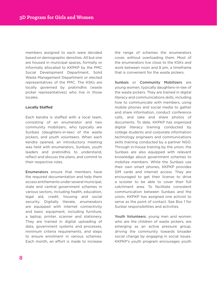members assigned to each were decided based on demographic densities. All but one are housed in municipal spaces, formally or informally allocated to KKPKP by the PMC Social Development Department, Solid Waste Management Department or elected representatives of the PMC. The KSKs are locally governed by pratinidhis (waste picker representatives) who live in those locales.

#### **Locally Staffed**

Each kendra is staffed with a local team, consisting of an enumerator and two community mobilizers, who typically are Sunbais (daughters-in-law) of the waste pickers, and youth volunteers. When each kendra opened, an introductory meeting was held with enumerators, Sunbais, youth leaders and pratinidhis to understand, reflect and discuss the plans, and commit to their respective roles.

Enumerators ensure that members have the required documentation and help them access entitlements under several municipal, state and central government schemes in various sectors, including health, education, legal aid, credit, housing and social security. Digitally literate, enumerators are equipped with internet connectivity and basic equipment, including furniture, a laptop, printer, scanner and stationery. They are trained in digital uploading of data, government systems and processes, minimum criteria requirements, and steps to ensure enrolment in various schemes. Each month, an effort is made to increase

the range of schemes the enumerators cover, without overloading them. Most of the enumerators live close to the KSKs and work between noon and 8 pm, a timeframe that is convenient for the waste pickers.

Sunbais or Community Mobilizers are young women, typically daughters-in-law of the waste pickers. They are trained in digital literacy and communications skills, including how to communicate with members, using mobile phones and social media to gather and share information, conduct conference calls, and take and share photos of documents. To date, KKPKP has organized digital literacy training conducted by college students and corporate information technology engineers and communications skills training conducted by a partner NGO. Through in-house training by the union, the Sunbais are also equipped with relevant knowledge about government schemes to mobilize members. While the Sunbais use their own smart phones, KKPKP provides SIM cards and internet access. They are encouraged to get their license to drive a scooter to be able to cover their full catchment area. To facilitate consistent communication between Sunbais and the union, KKPKP has assigned one activist to serve as the point of contact. See Box 1 for Sunbai responsibilities and activities.

Youth Volunteers, young men and women who are the children of waste pickers, are emerging as an active pressure group, driving the community towards broader social change by engaging in social issues. KKPKP's youth program encourages youth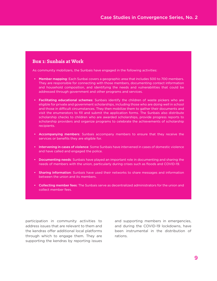# **Box 1: Sunbais at Work**

As community mobilizers, the Sunbais have engaged in the following activities:

- Member mapping: Each Sunbai covers a geographic area that includes 500 to 700 members. They are responsible for connecting with those members, documenting contact information and household composition, and identifying the needs and vulnerabilities that could be addressed through government and other programs and services.
- Facilitating educational schemes: Sunbais identify the children of waste pickers who are eligible for private and government scholarships, including those who are doing well in school and those in difficult circumstances. They then mobilize them to gather their documents and visit the enumerators to fill and submit the application forms. The Sunbais also distribute scholarship checks to children who are awarded scholarships, provide progress reports to scholarship providers and organize programs to celebrate the achievements of scholarship recipients.
- Accompanying members: Sunbais accompany members to ensure that they receive the services or benefits they are eligible for.
- Intervening in cases of violence: Some Sunbais have intervened in cases of domestic violence and have called and engaged the police.
- Documenting needs: Sunbais have played an important role in documenting and sharing the needs of members with the union, particularly during crises such as floods and COVID-19.
- Sharing information: Sunbais have used their networks to share messages and information between the union and its members.
- Collecting member fees: The Sunbais serve as decentralized administrators for the union and collect member fees.

participation in community activities to address issues that are relevant to them and the kendras offer additional local platforms through which to engage them. They are supporting the kendras by reporting issues

and supporting members in emergencies, and during the COVID-19 lockdowns, have been instrumental in the distribution of rations.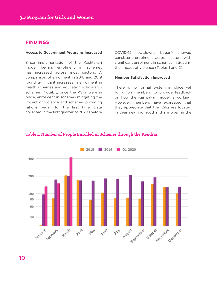### **FINDINGS**

#### **Access to Government Programs Increased**

Since implementation of the Kashtakari model began, enrolment in schemes has increased across most sectors. A comparison of enrolment in 2018 and 2019 found significant increases in enrolment in health schemes and education scholarship schemes. Notably, once the KSKs were in place, enrolment in schemes mitigating the impact of violence and schemes providing rations began for the first time. Data collected in the first quarter of 2020 (before COVID-19 lockdowns began) showed consistent enrolment across sectors with significant enrolment in schemes mitigating the impact of violence (Tables 1 and 2).

#### **Member Satisfaction Improved**

There is no formal system in place yet for union members to provide feedback on how the Kashtakari model is working. However, members have expressed that they appreciate that the KSKs are located in their neighborhood and are open in the



#### **Table 1: Number of People Enrolled in Schemes through the Kendras**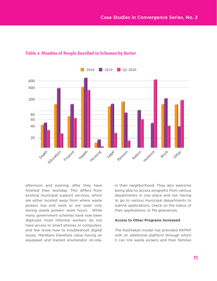

# **Table 2: Number of People Enrolled in Schemes by Sector**

afternoon and evening, after they have finished their workday. This differs from existing municipal support services, which are either located away from where waste pickers live and work or are open only during waste pickers' work hours. While many government schemes have now been digitized, most informal workers do not have access to smart phones or computers, and few know how to troubleshoot digital issues. Members therefore value having an equipped and trained enumerator on-site, in their neighborhood. They also welcome being able to access programs from various departments in one place and not having to go to various municipal departments to submit applications, check on the status of their applications, or file grievances.

#### **Access to Other Programs Increased**

The Kashtakari model has provided KKPKP with an additional platform through which it can link waste pickers and their families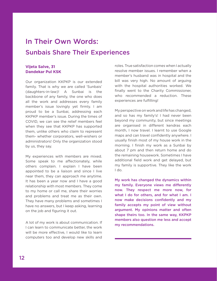# In Their Own Words:

# Sunbais Share Their Experiences

### **Vijeta Salve, 31 Dandekar Pul KSK**

Our organization KKPKP is our extended family. That is why we are called 'Sunbais' (daughters-in-law)! A Sunbai is the backbone of any family, the one who does all the work and addresses every family member's issue lovingly yet firmly. I am proud to be a Sunbai, addressing each KKPKP member's issue. During the times of COVID, we can see the relief members feel when they see that KKPKP has supported them, unlike others who claim to represent them- whether corporators, well-wishers or administrators! Only the organization stood by us, they say.

My experiences with members are mixed. Some speak to me affectionately, while others complain. I explain I have been appointed to be a liaison and since I live near them, they can approach me anytime. It has been a year now and I have a good relationship with most members. They come to my home or call me, share their worries and problems and treat me as their own. They have many problems and sometimes I have no answers, but I keep asking, learning on the job and figuring it out.

A lot of my work is about communication. If I can learn to communicate better, the work will be more effective, I would like to learn computers too and develop new skills and

roles. True satisfaction comes when I actually resolve member issues. I remember when a member's husband was in hospital and the bill was very high. No amount of arguing with the hospital authorities worked. We finally went to the Charity Commissioner, who recommended a reduction. These experiences are fulfilling!

My perspective on work and life has changed, and so has my family's! I had never been beyond my community, but since meetings are organised in different kendras each month, I now travel. I learnt to use Google maps and can travel confidently anywhere. I usually finish most of my house work in the morning. I finish my work as a Sunbai by about 7 pm and then return home and do the remaining housework. Sometimes I have additional field work and get delayed, but my family is supportive. They like the work I do.

My work has changed the dynamics within my family. Everyone views me differently now. They respect me more now, for what I do for others, and for what I am. I now make decisions confidently and my family accepts my point of view without argument. My opinions matter and often shape theirs too. In the same way, KKPKP members also question me less and accept my recommendations.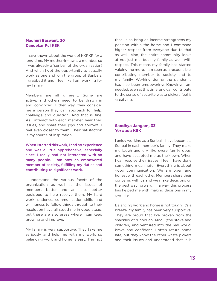#### **Madhuri Baswant, 30 Dandekar Pul KSK**

I have known about the work of KKPKP for a long time. My mother-in-law is a member, so I was already a 'sunbai' of the organisation! And when I got the opportunity to actually work as one and join the group of Sunbais, I grabbed it and I feel like I am working for my family.

Members are all different. Some are active, and others need to be drawn in and convinced. Either way, they consider me a person they can approach for help, challenge and question. And that is fine. As I interact with each member, hear their issues, and share their joys and sorrows, I feel even closer to them. Their satisfaction is my source of inspiration.

When I started this work, I had no experience and was a little apprehensive, especially since I really had not interacted with so many people. I am now an empowered member of society, fulfilling my duties and contributing to significant work.

I understand the various facets of the organization as well as the issues of members better and am also better equipped to help resolve them. My hard work, patience, communication skills, and willingness to follow things through to their resolution have all stood me in good stead, but these are also areas where I can keep growing and improve.

My family is very supportive. They take me seriously and help me with my work, so balancing work and home is easy. The fact that I also bring an income strengthens my position within the home and I command higher respect from everyone due to that as well! Also, the entire community looks at not just me, but my family as well, with respect. This means my family has started valuing me more. I am seen as a responsible, contributing member to society and to my family. Working during the pandemic has also been empowering. Knowing I am needed, even at this time, and can contribute to the sense of security waste pickers feel is gratifying.

#### **Sandhya Jangam, 33 Yerwada KSK**

I enjoy working as a Sunbai. I have become a Sunbai in each member's family! They make me laugh and cry, like every family does, and have accepted me as their own. When I can resolve their issues, I feel I have done something meaningful. Everything is about good communication. We are open and honest with each other. Members share their concerns with us and we make decisions on the best way forward. In a way, this process has helped me with making decisions in my own life.

Balancing work and home is not tough. It's a breeze. My family has been very supportive. They are proud that I've broken from the shackles of 'Chool ani Mool' (the stove and children) and ventured into the real world, brave and confident. I often return home late, but they know the other waste pickers and their issues and understand that it is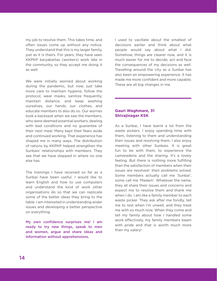my job to resolve them. This takes time, and often issues come up without any notice. They understand that this is my larger family, just as it is theirs. For years, they have seen KKPKP karyakartas (workers) work late in the community, so they accept me doing it as well.

We were initially worried about working during the pandemic, but now, just take more care to maintain hygiene, follow the protocol, wear masks, sanitize frequently, maintain distance, and keep washing ourselves, our hands, our clothes, and educate members to also do so. Our worries took a backseat when we saw the members, who were deemed essential workers, dealing with bad conditions and no guarantee of their next meal. Many kept their fears aside and continued working. That experience has shaped me in many ways. The distribution of rations by KKPKP helped strengthen the Sunbais' relationships with members. They see that we have stepped in where no one else has.

The trainings I have received so far as a Sunbai have been useful. I would like to learn English and how to use computers and understand the kind of work other organisations do so that we can replicate some of the better ideas they bring to the table. I am interested in understanding wider issues and developing a better perspective on everything.

My own confidence surprises me! I am ready to try new things, speak to men and women, argue and share ideas and information without apprehensions.

I used to vacillate about the smallest of decisions earlier and think about what people would say about what I did. Somehow, things are clearer now, and it is much easier for me to decide, act and face the consequences of my decisions as well. Travelling around the city as a Sunbai has also been an empowering experience. It has made me more confident and more capable. These are all big changes in me.

#### **Gauri Waghmare, 31 Shivajinagar KSK**

As a Sunbai, I have learnt a lot from the waste pickers. I enjoy spending time with them, listening to them and understanding their issues and resolving them. I also enjoy meeting with other Sunbais. It is great fun to be with them, to experience the camaraderie and the sharing. It's a lovely feeling. But there is nothing more fulfilling than the satisfaction of members when their issues are resolved- their problems solved. Some members actually call me 'Sunbai', some call me 'Madam'. Whatever the name, they all share their issues and concerns and expect me to resolve them and thank me when I do. I am like a family member to each waste picker. They ask after me fondly, tell me to rest when I'm unwell, and they treat me with so much love. When they come and tell my family about how I handled some work effectively, my family members beam with pride and that is worth much more than my salary!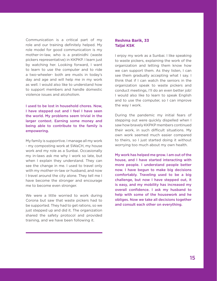Communication is a critical part of my role and our training definitely helped. My role model for good communication is my mother-in-law, who is a pratinidhi (waste pickers representative) in KKPKP. I learn just by watching her. Looking forward, I want to learn to use the computer and to ride a two-wheeler- both are musts in today's day and age and will help me in my work as well. I would also like to understand how to support members and handle domestic violence issues and alcoholism.

I used to be lost in household chores. Now, I have stepped out and I feel I have seen the world. My problems seem trivial in the larger context. Earning some money and being able to contribute to the family is empowering.

My family is supportive. I manage all my work - my composting work at SWaCH, my house work and my role as a Sunbai. Occasionally my in-laws ask me why I work so late, but when I explain they understand. They can see the change in me. I used to travel only with my mother-in-law or husband, and now I travel around the city alone. They tell me I have become the stronger and encourage me to become even stronger.

We were a little worried to work during Corona but saw that waste pickers had to be supported. They had to get rations, so we just stepped up and did it. The organization shared the safety protocol and provided training, and we have been following it.

#### **Reshma Barik, 33 Taljai KSK**

I enjoy my work as a Sunbai. I like speaking to waste pickers, explaining the work of the organization and letting them know how we can support them. As they listen, I can see them gradually accepting what I say. I think that if I can watch the seniors in the organization speak to waste pickers and conduct meetings, I'll do an even better job! I would also like to learn to speak English and to use the computer, so I can improve the way I work.

During the pandemic my initial fears of stepping out were quickly dispelled when I saw how bravely KKPKP members continued their work, in such difficult situations. My own work seemed much easier compared to theirs, so I just started doing it without worrying too much about my own health.

My work has helped me grow. I am out of the house, and I have started interacting with more people. I understand people better now. I have begun to make big decisions comfortably. Traveling used to be a big challenge, but now I have stepped out, it is easy, and my mobility has increased my overall confidence. I ask my husband to help with some of the housework and he obliges. Now we take all decisions together and consult each other on everything.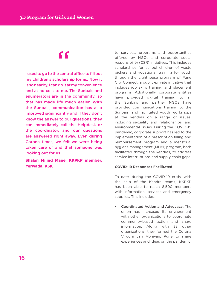# "

I used to go to the central office to fill out my children's scholarship forms. Now it is so nearby, I can do it at my convenience and at no cost to me. The Sunbais and enumerators are in the community...so that has made life much easier. With the Sunbais, communication has also improved significantly and if they don't know the answer to our questions, they can immediately call the Helpdesk or the coordinator, and our questions are answered right away. Even during Corona times, we felt we were being taken care of and that someone was looking out for us.

**Shalan Milind Mane, KKPKP member, Yerwada, KSK**

to services, programs and opportunities offered by NGOs and corporate social responsibility (CSR) initiatives. This includes scholarships for school children of waste pickers and vocational training for youth through the Lighthouse program of Pune City Connect, a public-private initiative that includes job skills training and placement programs. Additionally, corporate entities have provided digital training to all the Sunbais and partner NGOs have provided communications training to the Sunbais, and facilitated youth workshops at the kendras on a range of issues, including sexuality and relationships, and environmental issues. During the COVID-19 pandemic, corporate support has led to the implementation of a prescription filling and reimbursement program and a menstrual hygiene management (MHM) program, both facilitated through the kendras, to address service interruptions and supply chain gaps.

#### **COVID-19 Responses Facilitated**

To date, during the COVID-19 crisis, with the help of the Kendra teams, KKPKP has been able to reach 8,500 members with information, services and emergency supplies. This includes:

• Coordinated Action and Advocacy: The union has increased its engagement with other organizations to coordinate community-based action and share information. Along with 33 other organizations, they formed the Corona Virodhi Jan Abhiyan, Pune to share experiences and ideas on the pandemic,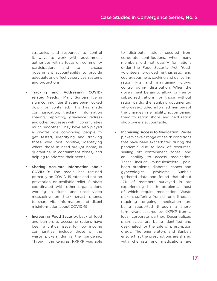strategies and resources to control it, ways to work with government authorities with a focus on community participation, and to increase government accountability to provide adequate and effective services, systems and protections.

- Tracking and Addressing COVIDrelated Needs: Many Sunbais live in slum communities that are being locked down or contained. This has made communication, tracking, information sharing, reporting, grievance redress and other processes within communities much smoother. They have also played a pivotal role convincing people to get tested, identifying and tracking those who test positive, identifying where those in need are (at home, in quarantine, in containment zones) and helping to address their needs.
- Sharing Accurate Information about COVID-19: The media has focused primarily on COVID-19 rates and not on prevention or available relief. Sunbais coordinated with other organizations working in slums and used video messaging on their smart phones to share vital information and dispel misinformation about COVID-19.
- Increasing Food Security: Lack of food and barriers to accessing rations have been a critical issue for low income communities, include those of the waste pickers during the pandemic. Through the kendras, KKPKP was able

to distribute rations secured from corporate contributions, when many members did not qualify for rations under the Food Security Act. Youth volunteers provided enthusiastic and courageous help, packing and delivering ration kits and maintaining crowd control during distribution. When the government began to allow for free or subsidized rations for those without ration cards, the Sunbais documented who was excluded, informed members of the changes in eligibility, accompanied them to ration shops and held ration shop owners accountable.

• Increasing Access to Medication: Waste pickers have a range of health conditions that have been exacerbated during the pandemic due to lack of resources, sealing off containment zones, and an inability to access medication. These include musculoskeletal pain, heart problems, diabetes, cancer and gynecological problems. Sunbais gathered data and found that about 17% of members surveyed in are experiencing health problems, most of which require medication. Waste pickers suffering from chronic illnesses requiring ongoing medication are being supported through a shortterm grant secured by KKPKP from a local corporate partner. Decentralized pharmacists are being identified and designated for the sale of prescription drugs. The enumerators and Sunbais ensure that the prescriptions are shared with chemists and medications are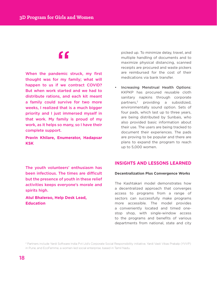# "

When the pandemic struck, my first thought was for my family; what will happen to us if we contract COVID? But when work started and we had to distribute rations, and each kit meant a family could survive for two more weeks, I realized that is a much bigger priority and I just immersed myself in that work. My family is proud of my work, as it helps so many, so I have their complete support.

**Pravin Khilare, Enumerator, Hadapsar KSK**

picked up. To minimize delay, travel, and multiple handling of documents and to maximize physical distancing, scanned receipts are procured and waste pickers are reimbursed for the cost of their medications via bank transfer.

• Increasing Menstrual Health Options: KKPKP has procured reusable cloth sanitary napkins through corporate partners,2 providing a subsidized, environmentally sound option. Sets of four pads, which last up to three years, are being distributed by Sunbais, who also provided basic information about their use. The users are being tracked to document their experiences. The pads are proving to be popular and there are plans to expand the program to reach up to 5,000 women.

The youth volunteers' enthusiasm has been infectious. The times are difficult but the presence of youth in these relief activities keeps everyone's morale and spirits high.

**Atul Bhalerao, Help Desk Lead, Education**

# **INSIGHTS AND LESSONS LEARNED**

#### **Decentralization Plus Convergence Works**

The Kashtakari model demonstrates how a decentralized approach that converges access to programs from a range of sectors can successfully make programs more accessible. The model provides a conveniently located and timed onestop shop, with single-window access to the programs and benefits of various departments from national, state and city

<sup>2</sup> Partners include Yardi Software India Pvt Ltd's Corporate Social Responsibility initiative, Yardi Vasti Vikas Prakalp (YVVP) in Pune, and EcoFemme, a women-led social enterprise, based in Tamil Nadu.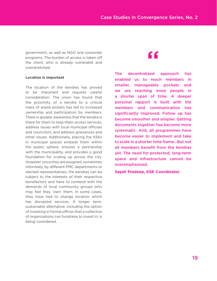government, as well as NGO and corporate programs. The burden of access is taken off the client, who is already vulnerable and overstretched.

#### **Location is Important**

The location of the kendras has proved to be important and requires careful consideration. The union has found that the proximity of a kendra to a critical mass of waste pickers has led to increased ownership and participation by members. There is greater awareness that the kendra is there for them to help them access services, address issues with local municipal officials and councilors, and address grievances and other issues. Additionally, placing the KSKs in municipal spaces embeds them within the public sphere, ensures a partnership with the municipality, and provides a good foundation for scaling up across the city. However, since they are assigned, sometimes informally, by different PMC departments or elected representatives, the kendras can be subject to the interests of their respective benefactors and have to contend with the demands of local community groups who may feel they 'own' them. In some cases, they have had to change location which has disrupted services. A longer term, sustainable alternative, including the option of investing in formal offices that a collective of organizations can fundraise to invest in, is being considered.

# "

The decentralized approach has enabled us to reach members in smaller, manageable pockets and we are reaching more people in a shorter span of time. A deeper personal rapport is built with the members and communication has significantly improved. Follow up has become smoother and simpler. Getting documents together has become more systematic. And, all programmes have become easier to implement and take to scale in a shorter time frame...But not all members benefit from the kendras yet. The need for protected, long-term space and infrastructure cannot be overemphasized.

**Sayali Pradeep, KSK Coordinator**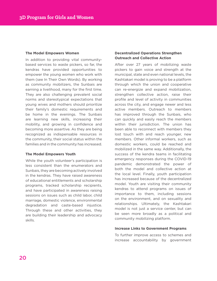#### **The Model Empowers Women**

In addition to providing vital communitybased services to waste pickers, so far, the kendras have provided opportunities to empower the young women who work with them (see In Their Own Words). By working as community mobilizers, the Sunbais are earning a livelihood, many for the first time. They are also challenging prevalent social norms and stereotypical expectations that young wives and mothers should prioritize their family's domestic requirements and be home in the evenings. The Sunbais are learning new skills, increasing their mobility, and growing in confidence and becoming more assertive. As they are being recognized as indispensable resources in the community, their social status within the families and in the community has increased.

#### **The Model Empowers Youth**

While the youth volunteer's participation is less consistent than the enumerators and Sunbais, they are becoming actively involved in the kendras. They have raised awareness of educational entitlements and scholarship programs, tracked scholarship recipients, and have participated in awareness raising sessions on issues such as child labor, child marriage, domestic violence, environmental degradation and caste-based injustice. Through these and other activities, they are building their leadership and advocacy skills.

#### **Decentralized Operations Strengthen Outreach and Collective Action**

After over 27 years of mobilizing waste pickers to gain voice and strength at the municipal, state and even national levels, the Kashtakari model is proving to be a platform through which the union and cooperative can re-energize and expand mobilization, strengthen collective action, raise their profile and level of activity in communities across the city, and engage newer and less active members. Outreach to members has improved through the Sunbais, who can quickly and easily reach the members within their jurisdiction. The union has been able to reconnect with members they lost touch with and reach younger, new members. Other informal workers, such as domestic workers, could be reached and mobilized in the same way. Additionally, the success of the kendra teams in facilitating emergency responses during the COVID-19 pandemic demonstrated the power of both the model and collective action at the local level. Finally, youth participation has increased because of the decentralized model. Youth are visiting their community kendras to attend programs on issues of importance to them, including sessions on the environment, and on sexuality and relationships. Ultimately, the Kashtakari model is not just a service center, but can be seen more broadly as a political and community mobilizing platform.

#### **Increase Links to Government Programs**

To further improve access to schemes and increase accountability by government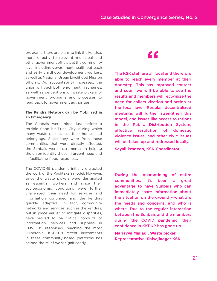programs, there are plans to link the kendras more directly to relevant municipal and other government officials at the community level, including government health outreach and early childhood development workers, as well as National Urban Livelihood Mission officials. As accountability increases, the union will track both enrolment in schemes, as well as perceptions of waste pickers of government programs and processes to feed back to government authorities.

#### **The Kendra Network can be Mobilized in an Emergency**

The Sunbais were hired just before a terrible flood hit Pune City, during which many waste pickers lost their homes and belongings. Since they were from those communities that were directly affected, the Sunbais were instrumental in helping the union identify those in urgent need and in facilitating flood responses.

The COVID-19 pandemic initially disrupted the work of the Kashtakari model. However, since the waste pickers were designated as essential workers and since their socioeconomic conditions were further challenged, their need for services and information continued and the kendras quickly adapted. In fact, community networks and services, such as the kendras, put in place earlier to mitigate disparities, have proved to be critical conduits of information, services and supplies in COVID-19 responses, reaching the most vulnerable. KKPKP's recent investments in these community-based platforms has helped the relief work significantly.

# "

The KSK staff are all local and therefore able to reach every member at their doorstep. This has improved contact and soon, we will be able to see the results and members will recognize the need for collectivization and action at the local level. Regular, decentralized meetings will further strengthen this model, and issues like access to rations in the Public Distribution System, effective resolution of domestic violence issues, and other civic issues will be taken up and redressed locally.

**Sayali Pradeep, KSK Coordinator**

During the quarantining of entire communities, it's been a great advantage to have Sunbais who can immediately share information about the situation on the ground – what are the needs and concerns, and who is where. Due to the regular interaction between the Sunbais and the members during the COVID pandemic, their confidence in KKPKP has gone up.

**Mariavva Mallagi, Waste picker Representative, Shivajinagar KSK**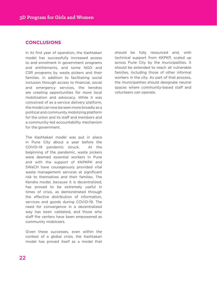# **CONCLUSIONS**

In its first year of operation, the Kashtakari model has successfully increased access to and enrolment in government programs and entitlements, and some NGO and CSR programs by waste pickers and their families. In addition to facilitating social inclusion through access to financial, social and emergency services, the kendras are creating opportunities for more local mobilization and advocacy. While it was conceived of as a service delivery platform, the model can now be seen more broadly as a political and community mobilizing platform for the union and its staff and members and a community-led accountability mechanism for the government.

The Kashtakari model was put in place in Pune City about a year before the COVID-19 pandemic struck. At the beginning of the pandemic, waste pickers were deemed essential workers in Pune and with the support of KKPKPK and SWaCH have courageously provided vital waste management services at significant risk to themselves and their families. The Kendra model, because it is decentralized, has proved to be extremely useful in times of crisis, as demonstrated through the effective distribution of information, services and goods during COVID-19. The need for convergence in a decentralized way has been validated, and those who staff the centers have been empowered as community mobilizers.

Given these successes, even within the context of a global crisis, the Kashtakari model has proved itself as a model that

should be fully resourced and, with technical support from KKPKP, scaled up across Pune City by the municipalities. It should be extended to reach all vulnerable families, including those of other informal workers in the city. As part of that process, the municipalities should designate neutral spaces where community-based staff and volunteers can operate.